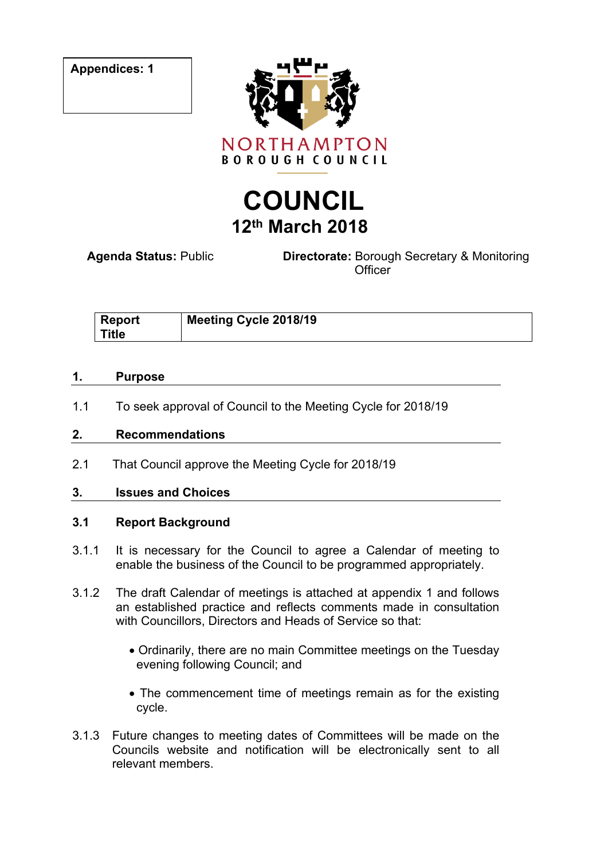**Appendices: 1**



# **COUNCIL 12th March 2018**

**Agenda Status:** Public **Directorate:** Borough Secretary & Monitoring **Officer** 

| <b>Report</b> | Meeting Cycle 2018/19 |
|---------------|-----------------------|
| Title         |                       |

#### **1. Purpose**

1.1 To seek approval of Council to the Meeting Cycle for 2018/19

### **2. Recommendations**

2.1 That Council approve the Meeting Cycle for 2018/19

## **3. Issues and Choices**

## **3.1 Report Background**

- 3.1.1 It is necessary for the Council to agree a Calendar of meeting to enable the business of the Council to be programmed appropriately.
- 3.1.2 The draft Calendar of meetings is attached at appendix 1 and follows an established practice and reflects comments made in consultation with Councillors, Directors and Heads of Service so that:
	- Ordinarily, there are no main Committee meetings on the Tuesday evening following Council; and
	- The commencement time of meetings remain as for the existing cycle.
- 3.1.3 Future changes to meeting dates of Committees will be made on the Councils website and notification will be electronically sent to all relevant members.